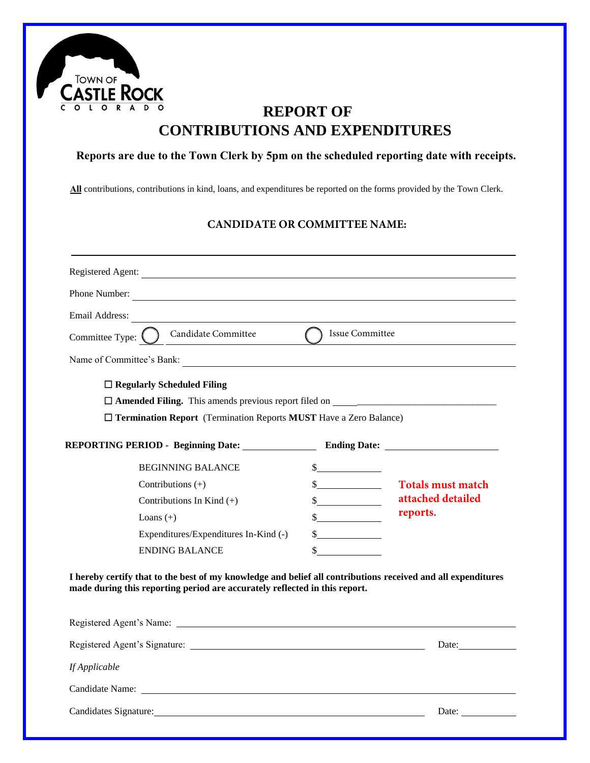

## **REPORT OF CONTRIBUTIONS AND EXPENDITURES**

#### **Reports are due to the Town Clerk by 5pm on the scheduled reporting date with receipts.**

**All** contributions, contributions in kind, loans, and expenditures be reported on the forms provided by the Town Clerk.

#### **CANDIDATE OR COMMITTEE NAME:**

| Phone Number:<br><u> 1989 - Johann Stoff, fransk politik (d. 1989)</u>                                                                                                                     |                             |                                       |
|--------------------------------------------------------------------------------------------------------------------------------------------------------------------------------------------|-----------------------------|---------------------------------------|
| Email Address:                                                                                                                                                                             |                             |                                       |
| Candidate Committee<br>Committee Type: (                                                                                                                                                   | Issue Committee             |                                       |
| Name of Committee's Bank:                                                                                                                                                                  |                             |                                       |
| $\Box$ Regularly Scheduled Filing                                                                                                                                                          |                             |                                       |
|                                                                                                                                                                                            |                             |                                       |
| $\Box$ Termination Report (Termination Reports MUST Have a Zero Balance)                                                                                                                   |                             |                                       |
|                                                                                                                                                                                            |                             |                                       |
| <b>REPORTING PERIOD - Beginning Date:</b>                                                                                                                                                  |                             | <b>Ending Date:</b>                   |
| <b>BEGINNING BALANCE</b>                                                                                                                                                                   | $\frac{1}{2}$               |                                       |
| Contributions $(+)$                                                                                                                                                                        | $\frac{1}{2}$               | <b>Totals must match</b>              |
| Contributions In Kind $(+)$                                                                                                                                                                | $\frac{\text{S}}{\text{S}}$ | attached detailed                     |
| Loans $(+)$                                                                                                                                                                                | $\frac{1}{2}$               | reports.                              |
| Expenditures/Expenditures In-Kind (-)                                                                                                                                                      | $\frac{1}{2}$               |                                       |
| <b>ENDING BALANCE</b>                                                                                                                                                                      | $\frac{\cdot}{\cdot}$       |                                       |
| I hereby certify that to the best of my knowledge and belief all contributions received and all expenditures<br>made during this reporting period are accurately reflected in this report. |                             |                                       |
| Registered Agent's Name:                                                                                                                                                                   |                             |                                       |
|                                                                                                                                                                                            |                             | Date: $\sqrt{\frac{2}{1-\frac{1}{2}}$ |
| If Applicable                                                                                                                                                                              |                             |                                       |
| Candidate Name: Candidate Name:                                                                                                                                                            |                             |                                       |
|                                                                                                                                                                                            |                             | Date:                                 |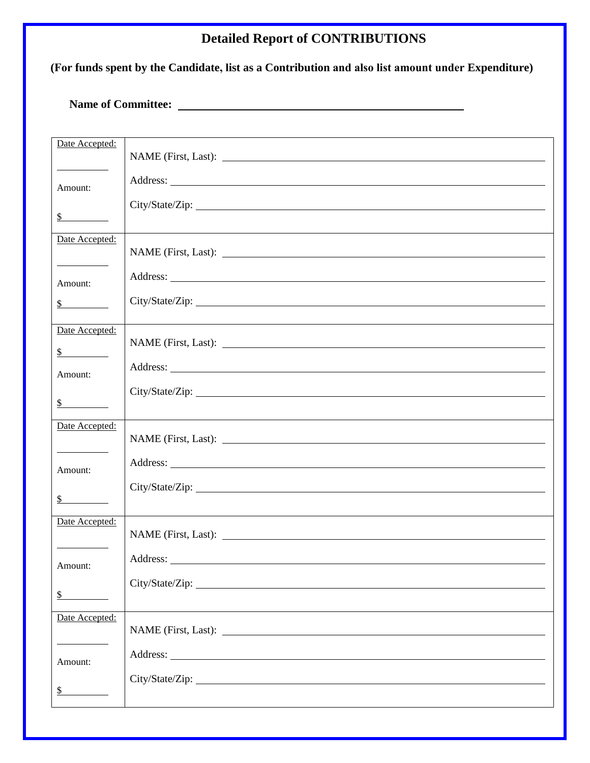## **Detailed Report of CONTRIBUTIONS**

#### **(For funds spent by the Candidate, list as a Contribution and also list amount under Expenditure)**

#### **Name of Committee:**

| Date Accepted:              |  |
|-----------------------------|--|
|                             |  |
|                             |  |
|                             |  |
| Amount:                     |  |
|                             |  |
| $\frac{\text{S}}{\text{S}}$ |  |
| Date Accepted:              |  |
|                             |  |
|                             |  |
| Amount:                     |  |
|                             |  |
| $\sim$                      |  |
|                             |  |
| Date Accepted:              |  |
| $\frac{\text{S}}{\text{S}}$ |  |
|                             |  |
| Amount:                     |  |
|                             |  |
| s                           |  |
| Date Accepted:              |  |
|                             |  |
|                             |  |
| Amount:                     |  |
|                             |  |
| $\mathbb{S}^-$              |  |
|                             |  |
| Date Accepted:              |  |
|                             |  |
|                             |  |
| Amount:                     |  |
|                             |  |
| \$                          |  |
| Date Accepted:              |  |
|                             |  |
|                             |  |
| Amount:                     |  |
|                             |  |
| \$                          |  |
|                             |  |
|                             |  |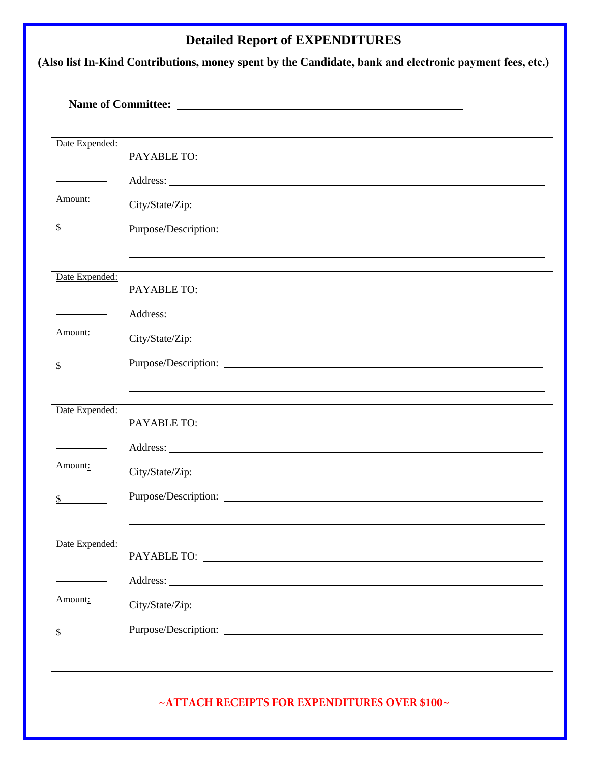## **Detailed Report of EXPENDITURES**

**(Also list In-Kind Contributions, money spent by the Candidate, bank and electronic payment fees, etc.)**

**Name of Committee:** 

| Date Expended:              |                                                                                  |
|-----------------------------|----------------------------------------------------------------------------------|
|                             |                                                                                  |
|                             |                                                                                  |
|                             |                                                                                  |
|                             |                                                                                  |
| Amount:                     |                                                                                  |
|                             |                                                                                  |
|                             |                                                                                  |
| $\frac{\text{S}}{\text{S}}$ |                                                                                  |
|                             |                                                                                  |
|                             |                                                                                  |
|                             |                                                                                  |
|                             |                                                                                  |
| Date Expended:              |                                                                                  |
|                             |                                                                                  |
|                             |                                                                                  |
|                             |                                                                                  |
|                             |                                                                                  |
| Amount:                     |                                                                                  |
|                             |                                                                                  |
|                             |                                                                                  |
| $\mathcal{S}$               |                                                                                  |
|                             |                                                                                  |
|                             | ,我们也不会有什么。""我们的人,我们也不会有什么?""我们的人,我们也不会有什么?""我们的人,我们也不会有什么?""我们的人,我们也不会有什么?""我们的人 |
|                             |                                                                                  |
| Date Expended:              |                                                                                  |
|                             |                                                                                  |
|                             |                                                                                  |
|                             |                                                                                  |
|                             |                                                                                  |
| Amount:                     |                                                                                  |
|                             |                                                                                  |
|                             |                                                                                  |
| $\frac{\text{S}}{\text{S}}$ | Purpose/Description:                                                             |
|                             |                                                                                  |
|                             |                                                                                  |
|                             |                                                                                  |
|                             |                                                                                  |
| Date Expended:              |                                                                                  |
|                             |                                                                                  |
|                             |                                                                                  |
|                             | Address:                                                                         |
|                             |                                                                                  |
| Amount:                     |                                                                                  |
|                             |                                                                                  |
|                             |                                                                                  |
| \$                          |                                                                                  |
|                             |                                                                                  |
|                             |                                                                                  |
|                             |                                                                                  |

**~ATTACH RECEIPTS FOR EXPENDITURES OVER \$100~**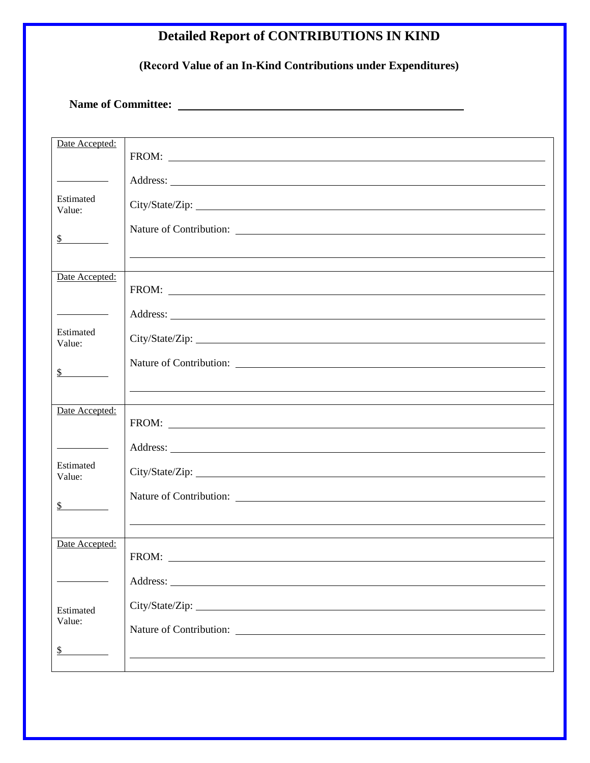# **Detailed Report of CONTRIBUTIONS IN KIND**

**(Record Value of an In-Kind Contributions under Expenditures)** 

**Name of Committee:** 

| Date Accepted:              |                                                                                                                                                                                                                                      |
|-----------------------------|--------------------------------------------------------------------------------------------------------------------------------------------------------------------------------------------------------------------------------------|
|                             |                                                                                                                                                                                                                                      |
|                             |                                                                                                                                                                                                                                      |
|                             |                                                                                                                                                                                                                                      |
|                             |                                                                                                                                                                                                                                      |
|                             |                                                                                                                                                                                                                                      |
| Estimated                   |                                                                                                                                                                                                                                      |
|                             |                                                                                                                                                                                                                                      |
| Value:                      |                                                                                                                                                                                                                                      |
|                             |                                                                                                                                                                                                                                      |
|                             |                                                                                                                                                                                                                                      |
| $\mathbb{S}$                |                                                                                                                                                                                                                                      |
|                             | ,我们也不会有什么。""我们的人,我们也不会有什么?""我们的人,我们也不会有什么?""我们的人,我们也不会有什么?""我们的人,我们也不会有什么?""我们的人                                                                                                                                                     |
|                             |                                                                                                                                                                                                                                      |
|                             |                                                                                                                                                                                                                                      |
| Date Accepted:              |                                                                                                                                                                                                                                      |
|                             |                                                                                                                                                                                                                                      |
|                             |                                                                                                                                                                                                                                      |
|                             |                                                                                                                                                                                                                                      |
|                             |                                                                                                                                                                                                                                      |
| Estimated                   |                                                                                                                                                                                                                                      |
| Value:                      | City/State/Zip:                                                                                                                                                                                                                      |
|                             |                                                                                                                                                                                                                                      |
|                             |                                                                                                                                                                                                                                      |
|                             |                                                                                                                                                                                                                                      |
| $\frac{\text{S}}{\text{S}}$ |                                                                                                                                                                                                                                      |
|                             |                                                                                                                                                                                                                                      |
|                             |                                                                                                                                                                                                                                      |
|                             |                                                                                                                                                                                                                                      |
| Date Accepted:              |                                                                                                                                                                                                                                      |
|                             | FROM: <u>the contract of the contract of the contract of the contract of the contract of the contract of the contract of the contract of the contract of the contract of the contract of the contract of the contract of the con</u> |
|                             |                                                                                                                                                                                                                                      |
|                             |                                                                                                                                                                                                                                      |
|                             |                                                                                                                                                                                                                                      |
| Estimated                   |                                                                                                                                                                                                                                      |
| Value:                      |                                                                                                                                                                                                                                      |
|                             |                                                                                                                                                                                                                                      |
|                             |                                                                                                                                                                                                                                      |
| $\frac{1}{2}$               |                                                                                                                                                                                                                                      |
|                             |                                                                                                                                                                                                                                      |
|                             |                                                                                                                                                                                                                                      |
|                             |                                                                                                                                                                                                                                      |
| Date Accepted:              |                                                                                                                                                                                                                                      |
|                             |                                                                                                                                                                                                                                      |
|                             | FROM: The contract of the contract of the contract of the contract of the contract of the contract of the contract of the contract of the contract of the contract of the contract of the contract of the contract of the cont       |
|                             |                                                                                                                                                                                                                                      |
|                             |                                                                                                                                                                                                                                      |
|                             |                                                                                                                                                                                                                                      |
|                             |                                                                                                                                                                                                                                      |
| Estimated                   |                                                                                                                                                                                                                                      |
| Value:                      |                                                                                                                                                                                                                                      |
|                             |                                                                                                                                                                                                                                      |
|                             |                                                                                                                                                                                                                                      |
|                             |                                                                                                                                                                                                                                      |
|                             |                                                                                                                                                                                                                                      |
| \$                          |                                                                                                                                                                                                                                      |